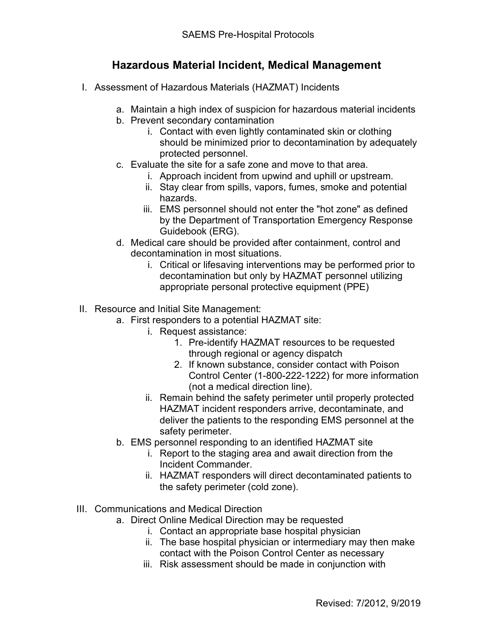## **Hazardous Material Incident, Medical Management**

- I. Assessment of Hazardous Materials (HAZMAT) Incidents
	- a. Maintain a high index of suspicion for hazardous material incidents
	- b. Prevent secondary contamination
		- i. Contact with even lightly contaminated skin or clothing should be minimized prior to decontamination by adequately protected personnel.
	- c. Evaluate the site for a safe zone and move to that area.
		- i. Approach incident from upwind and uphill or upstream.
		- ii. Stay clear from spills, vapors, fumes, smoke and potential hazards.
		- iii. EMS personnel should not enter the "hot zone" as defined by the Department of Transportation Emergency Response Guidebook (ERG).
	- d. Medical care should be provided after containment, control and decontamination in most situations.
		- i. Critical or lifesaving interventions may be performed prior to decontamination but only by HAZMAT personnel utilizing appropriate personal protective equipment (PPE)
- II. Resource and Initial Site Management:
	- a. First responders to a potential HAZMAT site:
		- i. Request assistance:
			- 1. Pre-identify HAZMAT resources to be requested through regional or agency dispatch
			- 2. If known substance, consider contact with Poison Control Center (1-800-222-1222) for more information (not a medical direction line).
		- ii. Remain behind the safety perimeter until properly protected HAZMAT incident responders arrive, decontaminate, and deliver the patients to the responding EMS personnel at the safety perimeter.
	- b. EMS personnel responding to an identified HAZMAT site
		- i. Report to the staging area and await direction from the Incident Commander.
		- ii. HAZMAT responders will direct decontaminated patients to the safety perimeter (cold zone).
- III. Communications and Medical Direction
	- a. Direct Online Medical Direction may be requested
		- i. Contact an appropriate base hospital physician
		- ii. The base hospital physician or intermediary may then make contact with the Poison Control Center as necessary
		- iii. Risk assessment should be made in conjunction with